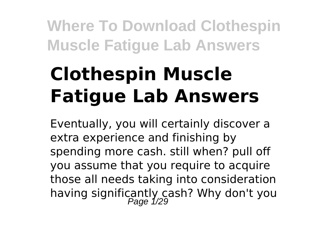# **Clothespin Muscle Fatigue Lab Answers**

Eventually, you will certainly discover a extra experience and finishing by spending more cash. still when? pull off you assume that you require to acquire those all needs taking into consideration having significantly cash? Why don't you<br>Page 1/29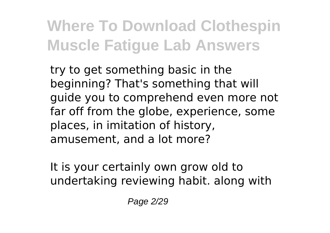try to get something basic in the beginning? That's something that will guide you to comprehend even more not far off from the globe, experience, some places, in imitation of history, amusement, and a lot more?

It is your certainly own grow old to undertaking reviewing habit. along with

Page 2/29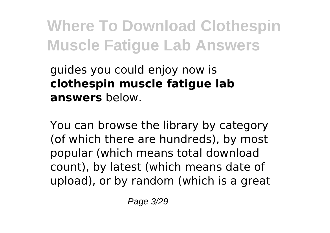guides you could enjoy now is **clothespin muscle fatigue lab answers** below.

You can browse the library by category (of which there are hundreds), by most popular (which means total download count), by latest (which means date of upload), or by random (which is a great

Page 3/29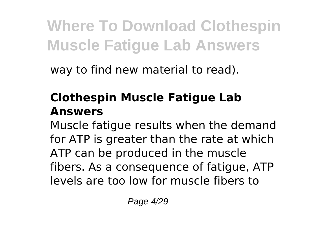way to find new material to read).

### **Clothespin Muscle Fatigue Lab Answers**

Muscle fatigue results when the demand for ATP is greater than the rate at which ATP can be produced in the muscle fibers. As a consequence of fatigue, ATP levels are too low for muscle fibers to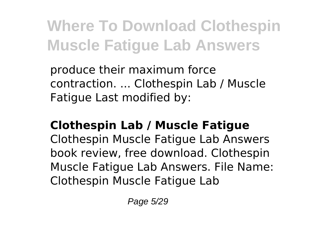produce their maximum force contraction. ... Clothespin Lab / Muscle Fatigue Last modified by:

#### **Clothespin Lab / Muscle Fatigue**

Clothespin Muscle Fatigue Lab Answers book review, free download. Clothespin Muscle Fatigue Lab Answers. File Name: Clothespin Muscle Fatigue Lab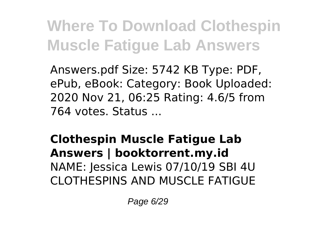Answers.pdf Size: 5742 KB Type: PDF, ePub, eBook: Category: Book Uploaded: 2020 Nov 21, 06:25 Rating: 4.6/5 from 764 votes. Status ...

**Clothespin Muscle Fatigue Lab Answers | booktorrent.my.id** NAME: Jessica Lewis 07/10/19 SBI 4U CLOTHESPINS AND MUSCLE FATIGUE

Page 6/29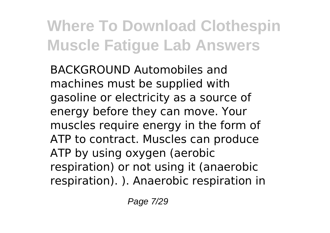BACKGROUND Automobiles and machines must be supplied with gasoline or electricity as a source of energy before they can move. Your muscles require energy in the form of ATP to contract. Muscles can produce ATP by using oxygen (aerobic respiration) or not using it (anaerobic respiration). ). Anaerobic respiration in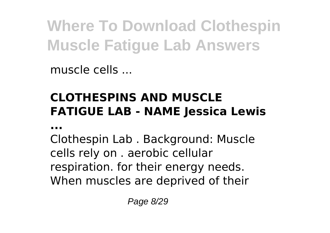muscle cells ...

### **CLOTHESPINS AND MUSCLE FATIGUE LAB - NAME Jessica Lewis**

**...**

Clothespin Lab . Background: Muscle cells rely on . aerobic cellular respiration. for their energy needs. When muscles are deprived of their

Page 8/29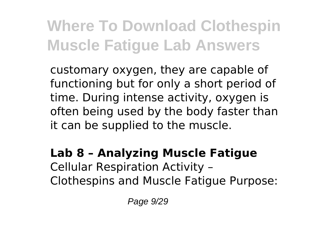customary oxygen, they are capable of functioning but for only a short period of time. During intense activity, oxygen is often being used by the body faster than it can be supplied to the muscle.

#### **Lab 8 – Analyzing Muscle Fatigue** Cellular Respiration Activity – Clothespins and Muscle Fatigue Purpose: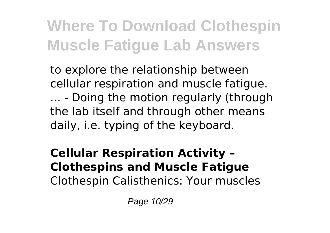to explore the relationship between cellular respiration and muscle fatigue. ... - Doing the motion regularly (through the lab itself and through other means daily, i.e. typing of the keyboard.

#### **Cellular Respiration Activity – Clothespins and Muscle Fatigue** Clothespin Calisthenics: Your muscles

Page 10/29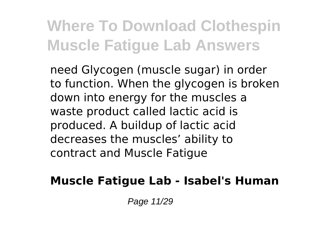need Glycogen (muscle sugar) in order to function. When the glycogen is broken down into energy for the muscles a waste product called lactic acid is produced. A buildup of lactic acid decreases the muscles' ability to contract and Muscle Fatigue

#### **Muscle Fatigue Lab - Isabel's Human**

Page 11/29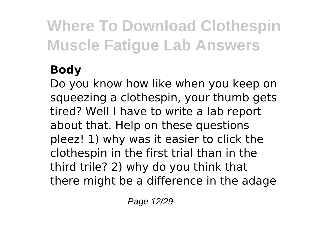### **Body**

Do you know how like when you keep on squeezing a clothespin, your thumb gets tired? Well I have to write a lab report about that. Help on these questions pleez! 1) why was it easier to click the clothespin in the first trial than in the third trile? 2) why do you think that there might be a difference in the adage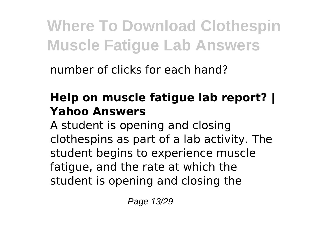number of clicks for each hand?

### **Help on muscle fatigue lab report? | Yahoo Answers**

A student is opening and closing clothespins as part of a lab activity. The student begins to experience muscle fatigue, and the rate at which the student is opening and closing the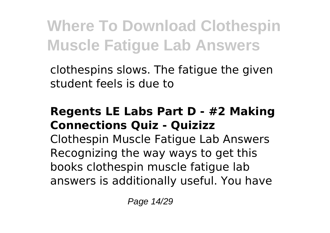clothespins slows. The fatigue the given student feels is due to

#### **Regents LE Labs Part D - #2 Making Connections Quiz - Quizizz**

Clothespin Muscle Fatigue Lab Answers Recognizing the way ways to get this books clothespin muscle fatigue lab answers is additionally useful. You have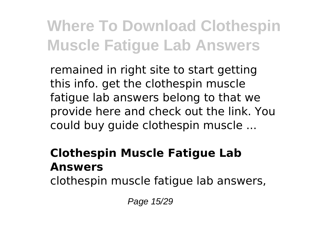remained in right site to start getting this info. get the clothespin muscle fatigue lab answers belong to that we provide here and check out the link. You could buy guide clothespin muscle ...

### **Clothespin Muscle Fatigue Lab Answers**

clothespin muscle fatigue lab answers,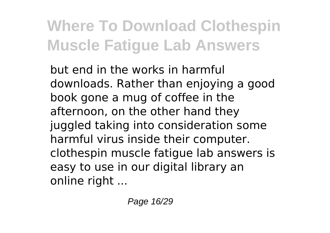but end in the works in harmful downloads. Rather than enjoying a good book gone a mug of coffee in the afternoon, on the other hand they juggled taking into consideration some harmful virus inside their computer. clothespin muscle fatigue lab answers is easy to use in our digital library an online right ...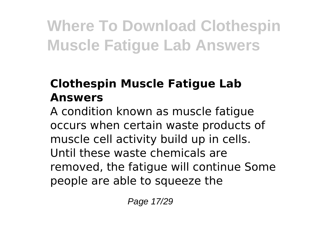### **Clothespin Muscle Fatigue Lab Answers**

A condition known as muscle fatigue occurs when certain waste products of muscle cell activity build up in cells. Until these waste chemicals are removed, the fatigue will continue Some people are able to squeeze the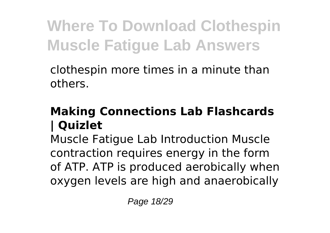clothespin more times in a minute than others.

#### **Making Connections Lab Flashcards | Quizlet**

Muscle Fatigue Lab Introduction Muscle contraction requires energy in the form of ATP. ATP is produced aerobically when oxygen levels are high and anaerobically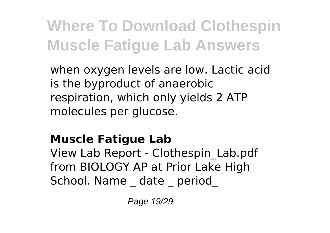when oxygen levels are low. Lactic acid is the byproduct of anaerobic respiration, which only yields 2 ATP molecules per glucose.

### **Muscle Fatigue Lab**

View Lab Report - Clothespin\_Lab.pdf from BIOLOGY AP at Prior Lake High School. Name date period

Page 19/29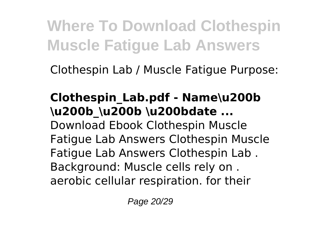Clothespin Lab / Muscle Fatigue Purpose:

#### **Clothespin\_Lab.pdf - Name\u200b \u200b\_\u200b \u200bdate ...** Download Ebook Clothespin Muscle Fatigue Lab Answers Clothespin Muscle Fatigue Lab Answers Clothespin Lab . Background: Muscle cells rely on . aerobic cellular respiration. for their

Page 20/29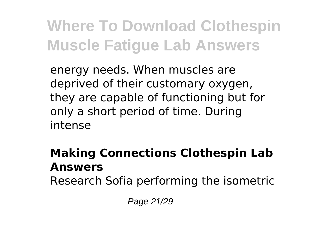energy needs. When muscles are deprived of their customary oxygen, they are capable of functioning but for only a short period of time. During intense

#### **Making Connections Clothespin Lab Answers**

Research Sofia performing the isometric

Page 21/29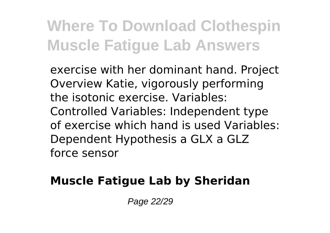exercise with her dominant hand. Project Overview Katie, vigorously performing the isotonic exercise. Variables: Controlled Variables: Independent type of exercise which hand is used Variables: Dependent Hypothesis a GLX a GLZ force sensor

### **Muscle Fatigue Lab by Sheridan**

Page 22/29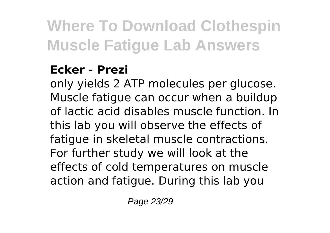### **Ecker - Prezi**

only yields 2 ATP molecules per glucose. Muscle fatigue can occur when a buildup of lactic acid disables muscle function. In this lab you will observe the effects of fatigue in skeletal muscle contractions. For further study we will look at the effects of cold temperatures on muscle action and fatigue. During this lab you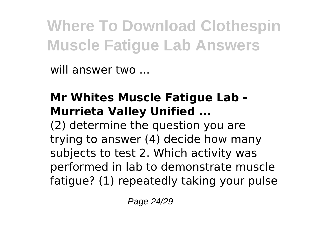will answer two ...

### **Mr Whites Muscle Fatigue Lab - Murrieta Valley Unified ...**

(2) determine the question you are trying to answer (4) decide how many subjects to test 2. Which activity was performed in lab to demonstrate muscle fatigue? (1) repeatedly taking your pulse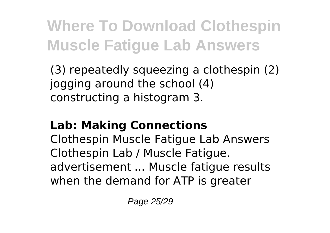(3) repeatedly squeezing a clothespin (2) jogging around the school (4) constructing a histogram 3.

### **Lab: Making Connections**

Clothespin Muscle Fatigue Lab Answers Clothespin Lab / Muscle Fatigue. advertisement ... Muscle fatigue results when the demand for ATP is greater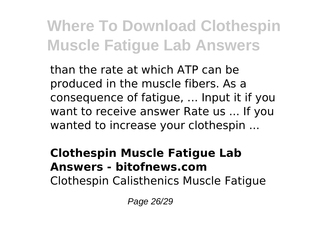than the rate at which ATP can be produced in the muscle fibers. As a consequence of fatigue, ... Input it if you want to receive answer Rate us ... If you wanted to increase your clothespin ...

#### **Clothespin Muscle Fatigue Lab Answers - bitofnews.com** Clothespin Calisthenics Muscle Fatigue

Page 26/29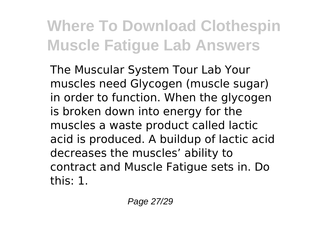The Muscular System Tour Lab Your muscles need Glycogen (muscle sugar) in order to function. When the glycogen is broken down into energy for the muscles a waste product called lactic acid is produced. A buildup of lactic acid decreases the muscles' ability to contract and Muscle Fatigue sets in. Do this: 1.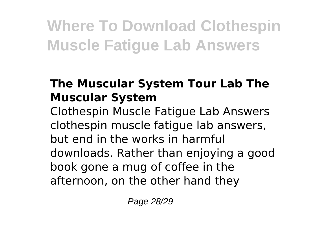### **The Muscular System Tour Lab The Muscular System**

Clothespin Muscle Fatigue Lab Answers clothespin muscle fatigue lab answers, but end in the works in harmful downloads. Rather than enjoying a good book gone a mug of coffee in the afternoon, on the other hand they

Page 28/29